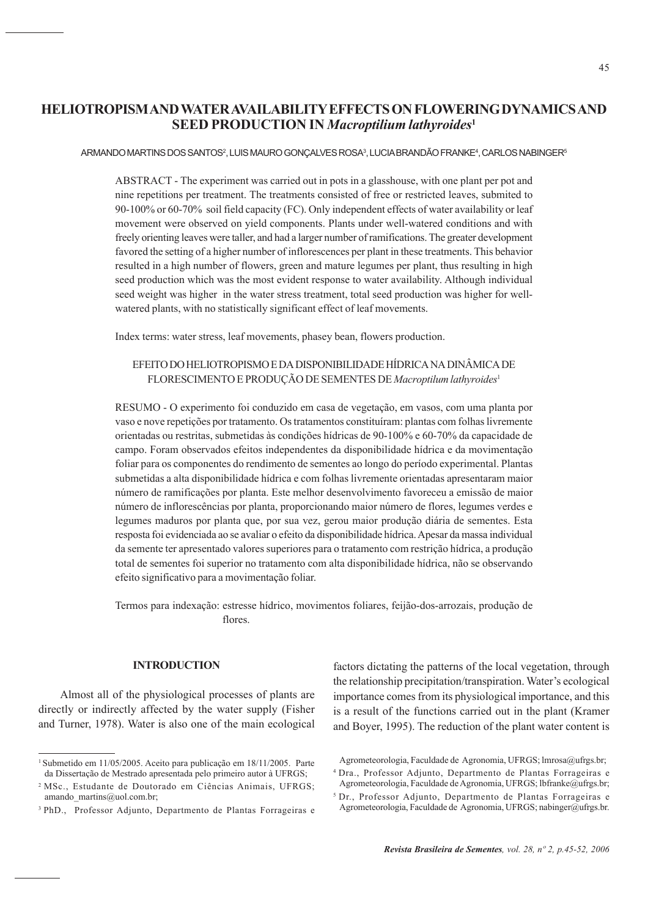# **HELIOTROPISM AND WATER AVAILABILITY EFFECTS ON FLOWERING DYNAMICS AND SEED PRODUCTION IN** *Macroptilium lathyroides***<sup>1</sup>**

#### ARMANDO MARTINS DOS SANTOS<sup>2</sup>, LUIS MAURO GONÇALVES ROSA<sup>3</sup>, LUCIA BRANDÃO FRANKE<sup>4</sup>, CARLOS NABINGER<sup>5</sup>

ABSTRACT - The experiment was carried out in pots in a glasshouse, with one plant per pot and nine repetitions per treatment. The treatments consisted of free or restricted leaves, submited to 90-100% or 60-70% soil field capacity (FC). Only independent effects of water availability or leaf movement were observed on yield components. Plants under well-watered conditions and with freely orienting leaves were taller, and had a larger number of ramifications. The greater development favored the setting of a higher number of inflorescences per plant in these treatments. This behavior resulted in a high number of flowers, green and mature legumes per plant, thus resulting in high seed production which was the most evident response to water availability. Although individual seed weight was higher in the water stress treatment, total seed production was higher for wellwatered plants, with no statistically significant effect of leaf movements.

Index terms: water stress, leaf movements, phasey bean, flowers production.

## EFEITO DO HELIOTROPISMO E DA DISPONIBILIDADE HÍDRICA NA DINÂMICA DE FLORESCIMENTO E PRODUÇÃO DE SEMENTES DE *Macroptilum lathyroides*<sup>1</sup>

RESUMO - O experimento foi conduzido em casa de vegetação, em vasos, com uma planta por vaso e nove repetições por tratamento. Os tratamentos constituíram: plantas com folhas livremente orientadas ou restritas, submetidas às condições hídricas de 90-100% e 60-70% da capacidade de campo. Foram observados efeitos independentes da disponibilidade hídrica e da movimentação foliar para os componentes do rendimento de sementes ao longo do período experimental. Plantas submetidas a alta disponibilidade hídrica e com folhas livremente orientadas apresentaram maior número de ramificações por planta. Este melhor desenvolvimento favoreceu a emissão de maior número de inflorescências por planta, proporcionando maior número de flores, legumes verdes e legumes maduros por planta que, por sua vez, gerou maior produção diária de sementes. Esta resposta foi evidenciada ao se avaliar o efeito da disponibilidade hídrica. Apesar da massa individual da semente ter apresentado valores superiores para o tratamento com restrição hídrica, a produção total de sementes foi superior no tratamento com alta disponibilidade hídrica, não se observando efeito significativo para a movimentação foliar.

Termos para indexação: estresse hídrico, movimentos foliares, feijão-dos-arrozais, produção de flores

### **INTRODUCTION**

Almost all of the physiological processes of plants are directly or indirectly affected by the water supply (Fisher and Turner, 1978). Water is also one of the main ecological factors dictating the patterns of the local vegetation, through the relationship precipitation/transpiration. Water's ecological importance comes from its physiological importance, and this is a result of the functions carried out in the plant (Kramer and Boyer, 1995). The reduction of the plant water content is

<sup>1</sup> Submetido em 11/05/2005. Aceito para publicação em 18/11/2005. Parte da Dissertação de Mestrado apresentada pelo primeiro autor à UFRGS;

<sup>2</sup> MSc., Estudante de Doutorado em Ciências Animais, UFRGS; amando\_martins@uol.com.br;

<sup>3</sup> PhD., Professor Adjunto, Departmento de Plantas Forrageiras e

Agrometeorologia, Faculdade de Agronomia, UFRGS; lmrosa@ufrgs.br;

<sup>4</sup> Dra., Professor Adjunto, Departmento de Plantas Forrageiras e Agrometeorologia, Faculdade de Agronomia, UFRGS; lbfranke@ufrgs.br;

<sup>5</sup> Dr., Professor Adjunto, Departmento de Plantas Forrageiras e Agrometeorologia, Faculdade de Agronomia, UFRGS; nabinger@ufrgs.br.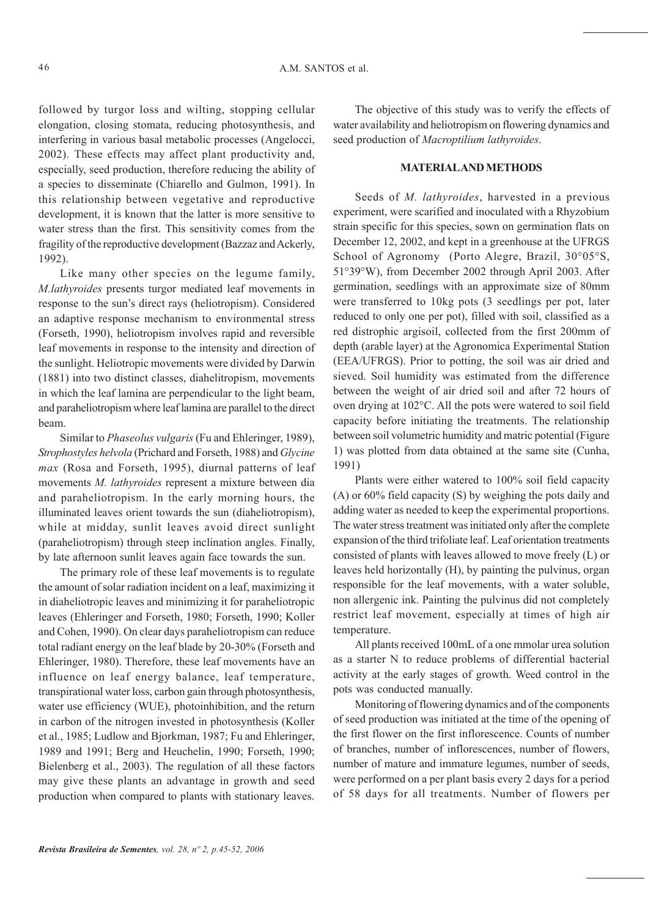followed by turgor loss and wilting, stopping cellular elongation, closing stomata, reducing photosynthesis, and interfering in various basal metabolic processes (Angelocci, 2002). These effects may affect plant productivity and, especially, seed production, therefore reducing the ability of a species to disseminate (Chiarello and Gulmon, 1991). In this relationship between vegetative and reproductive development, it is known that the latter is more sensitive to water stress than the first. This sensitivity comes from the fragility of the reproductive development (Bazzaz and Ackerly, 1992).

Like many other species on the legume family, *M.lathyroides* presents turgor mediated leaf movements in response to the sun's direct rays (heliotropism). Considered an adaptive response mechanism to environmental stress (Forseth, 1990), heliotropism involves rapid and reversible leaf movements in response to the intensity and direction of the sunlight. Heliotropic movements were divided by Darwin (1881) into two distinct classes, diahelitropism, movements in which the leaf lamina are perpendicular to the light beam, and paraheliotropism where leaf lamina are parallel to the direct beam.

Similar to *Phaseolus vulgaris* (Fu and Ehleringer, 1989), *Strophostyles helvola* (Prichard and Forseth, 1988) and *Glycine max* (Rosa and Forseth, 1995), diurnal patterns of leaf movements *M. lathyroides* represent a mixture between dia and paraheliotropism. In the early morning hours, the illuminated leaves orient towards the sun (diaheliotropism), while at midday, sunlit leaves avoid direct sunlight (paraheliotropism) through steep inclination angles. Finally, by late afternoon sunlit leaves again face towards the sun.

The primary role of these leaf movements is to regulate the amount of solar radiation incident on a leaf, maximizing it in diaheliotropic leaves and minimizing it for paraheliotropic leaves (Ehleringer and Forseth, 1980; Forseth, 1990; Koller and Cohen, 1990). On clear days paraheliotropism can reduce total radiant energy on the leaf blade by 20-30% (Forseth and Ehleringer, 1980). Therefore, these leaf movements have an influence on leaf energy balance, leaf temperature, transpirational water loss, carbon gain through photosynthesis, water use efficiency (WUE), photoinhibition, and the return in carbon of the nitrogen invested in photosynthesis (Koller et al., 1985; Ludlow and Bjorkman, 1987; Fu and Ehleringer, 1989 and 1991; Berg and Heuchelin, 1990; Forseth, 1990; Bielenberg et al., 2003). The regulation of all these factors may give these plants an advantage in growth and seed production when compared to plants with stationary leaves.

The objective of this study was to verify the effects of water availability and heliotropism on flowering dynamics and seed production of *Macroptilium lathyroides*.

### **MATERIAL AND METHODS**

Seeds of *M. lathyroides*, harvested in a previous experiment, were scarified and inoculated with a Rhyzobium strain specific for this species, sown on germination flats on December 12, 2002, and kept in a greenhouse at the UFRGS School of Agronomy (Porto Alegre, Brazil, 30°05°S, 51°39°W), from December 2002 through April 2003. After germination, seedlings with an approximate size of 80mm were transferred to 10kg pots (3 seedlings per pot, later reduced to only one per pot), filled with soil, classified as a red distrophic argisoil, collected from the first 200mm of depth (arable layer) at the Agronomica Experimental Station (EEA/UFRGS). Prior to potting, the soil was air dried and sieved. Soil humidity was estimated from the difference between the weight of air dried soil and after 72 hours of oven drying at 102°C. All the pots were watered to soil field capacity before initiating the treatments. The relationship between soil volumetric humidity and matric potential (Figure 1) was plotted from data obtained at the same site (Cunha, 1991)

Plants were either watered to 100% soil field capacity (A) or 60% field capacity (S) by weighing the pots daily and adding water as needed to keep the experimental proportions. The water stress treatment was initiated only after the complete expansion of the third trifoliate leaf. Leaf orientation treatments consisted of plants with leaves allowed to move freely (L) or leaves held horizontally (H), by painting the pulvinus, organ responsible for the leaf movements, with a water soluble, non allergenic ink. Painting the pulvinus did not completely restrict leaf movement, especially at times of high air temperature.

All plants received 100mL of a one mmolar urea solution as a starter N to reduce problems of differential bacterial activity at the early stages of growth. Weed control in the pots was conducted manually.

Monitoring of flowering dynamics and of the components of seed production was initiated at the time of the opening of the first flower on the first inflorescence. Counts of number of branches, number of inflorescences, number of flowers, number of mature and immature legumes, number of seeds, were performed on a per plant basis every 2 days for a period of 58 days for all treatments. Number of flowers per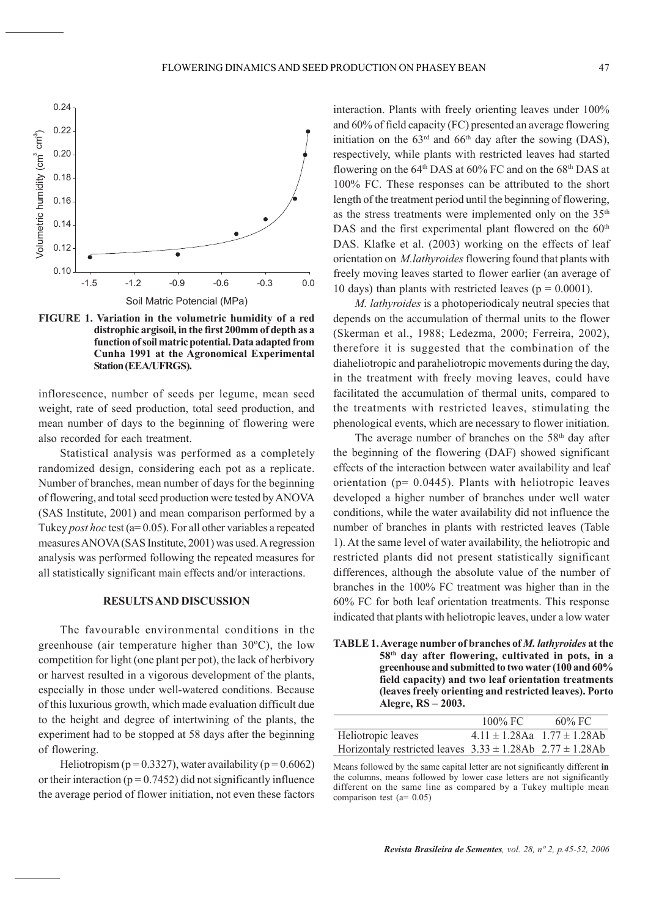

**FIGURE 1. Variation in the volumetric humidity of a red distrophic argisoil, in the first 200mm of depth as a function of soil matric potential. Data adapted from Cunha 1991 at the Agronomical Experimental Station (EEA/UFRGS).**

inflorescence, number of seeds per legume, mean seed weight, rate of seed production, total seed production, and mean number of days to the beginning of flowering were also recorded for each treatment.

Statistical analysis was performed as a completely randomized design, considering each pot as a replicate. Number of branches, mean number of days for the beginning of flowering, and total seed production were tested by ANOVA (SAS Institute, 2001) and mean comparison performed by a Tukey *post hoc* test (a= 0.05). For all other variables a repeated measures ANOVA (SAS Institute, 2001) was used. A regression analysis was performed following the repeated measures for all statistically significant main effects and/or interactions.

### **RESULTS AND DISCUSSION**

The favourable environmental conditions in the greenhouse (air temperature higher than 30ºC), the low competition for light (one plant per pot), the lack of herbivory or harvest resulted in a vigorous development of the plants, especially in those under well-watered conditions. Because of this luxurious growth, which made evaluation difficult due to the height and degree of intertwining of the plants, the experiment had to be stopped at 58 days after the beginning of flowering.

Heliotropism ( $p = 0.3327$ ), water availability ( $p = 0.6062$ ) or their interaction ( $p = 0.7452$ ) did not significantly influence the average period of flower initiation, not even these factors interaction. Plants with freely orienting leaves under 100% and 60% of field capacity (FC) presented an average flowering initiation on the  $63<sup>rd</sup>$  and  $66<sup>th</sup>$  day after the sowing (DAS), respectively, while plants with restricted leaves had started flowering on the  $64<sup>th</sup>$  DAS at  $60\%$  FC and on the  $68<sup>th</sup>$  DAS at 100% FC. These responses can be attributed to the short length of the treatment period until the beginning of flowering, as the stress treatments were implemented only on the  $35<sup>th</sup>$ DAS and the first experimental plant flowered on the  $60<sup>th</sup>$ DAS. Klafke et al. (2003) working on the effects of leaf orientation on *M.lathyroides* flowering found that plants with freely moving leaves started to flower earlier (an average of 10 days) than plants with restricted leaves ( $p = 0.0001$ ).

*M. lathyroides* is a photoperiodicaly neutral species that depends on the accumulation of thermal units to the flower (Skerman et al., 1988; Ledezma, 2000; Ferreira, 2002), therefore it is suggested that the combination of the diaheliotropic and paraheliotropic movements during the day, in the treatment with freely moving leaves, could have facilitated the accumulation of thermal units, compared to the treatments with restricted leaves, stimulating the phenological events, which are necessary to flower initiation.

The average number of branches on the 58<sup>th</sup> day after the beginning of the flowering (DAF) showed significant effects of the interaction between water availability and leaf orientation (p= 0.0445). Plants with heliotropic leaves developed a higher number of branches under well water conditions, while the water availability did not influence the number of branches in plants with restricted leaves (Table 1). At the same level of water availability, the heliotropic and restricted plants did not present statistically significant differences, although the absolute value of the number of branches in the 100% FC treatment was higher than in the 60% FC for both leaf orientation treatments. This response indicated that plants with heliotropic leaves, under a low water

**TABLE 1. Average number of branches of** *M. lathyroides* **at the 58th day after flowering, cultivated in pots, in a greenhouse and submitted to two water (100 and 60% field capacity) and two leaf orientation treatments (leaves freely orienting and restricted leaves). Porto Alegre, RS – 2003.**

|                                                                     | $100\%$ FC | $60\%$ FC                             |
|---------------------------------------------------------------------|------------|---------------------------------------|
| Heliotropic leaves                                                  |            | $4.11 \pm 1.28$ Aa $1.77 \pm 1.28$ Ab |
| Horizontaly restricted leaves $3.33 \pm 1.28$ Ab $2.77 \pm 1.28$ Ab |            |                                       |

Means followed by the same capital letter are not significantly different **in** the columns, means followed by lower case letters are not significantly different on the same line as compared by a Tukey multiple mean comparison test ( $a= 0.05$ )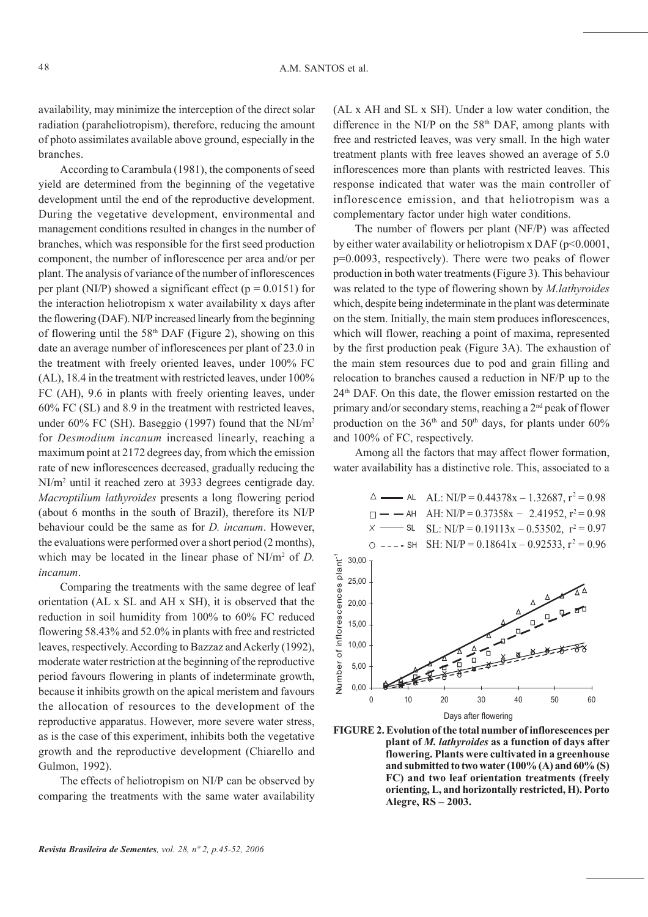availability, may minimize the interception of the direct solar radiation (paraheliotropism), therefore, reducing the amount of photo assimilates available above ground, especially in the branches.

According to Carambula (1981), the components of seed yield are determined from the beginning of the vegetative development until the end of the reproductive development. During the vegetative development, environmental and management conditions resulted in changes in the number of branches, which was responsible for the first seed production component, the number of inflorescence per area and/or per plant. The analysis of variance of the number of inflorescences per plant (NI/P) showed a significant effect ( $p = 0.0151$ ) for the interaction heliotropism x water availability x days after the flowering (DAF). NI/P increased linearly from the beginning of flowering until the  $58<sup>th</sup>$  DAF (Figure 2), showing on this date an average number of inflorescences per plant of 23.0 in the treatment with freely oriented leaves, under 100% FC (AL), 18.4 in the treatment with restricted leaves, under 100% FC (AH), 9.6 in plants with freely orienting leaves, under 60% FC (SL) and 8.9 in the treatment with restricted leaves, under 60% FC (SH). Baseggio (1997) found that the NI/m<sup>2</sup> for *Desmodium incanum* increased linearly, reaching a maximum point at 2172 degrees day, from which the emission rate of new inflorescences decreased, gradually reducing the NI/m<sup>2</sup> until it reached zero at 3933 degrees centigrade day. *Macroptilium lathyroides* presents a long flowering period (about 6 months in the south of Brazil), therefore its NI/P behaviour could be the same as for *D. incanum*. However, the evaluations were performed over a short period (2 months), which may be located in the linear phase of NI/m2 of *D. incanum*.

Comparing the treatments with the same degree of leaf orientation (AL x SL and AH x SH), it is observed that the reduction in soil humidity from 100% to 60% FC reduced flowering 58.43% and 52.0% in plants with free and restricted leaves, respectively. According to Bazzaz and Ackerly (1992), moderate water restriction at the beginning of the reproductive period favours flowering in plants of indeterminate growth, because it inhibits growth on the apical meristem and favours the allocation of resources to the development of the reproductive apparatus. However, more severe water stress, as is the case of this experiment, inhibits both the vegetative growth and the reproductive development (Chiarello and Gulmon, 1992).

The effects of heliotropism on NI/P can be observed by comparing the treatments with the same water availability (AL x AH and SL x SH). Under a low water condition, the difference in the NI/P on the  $58<sup>th</sup>$  DAF, among plants with free and restricted leaves, was very small. In the high water treatment plants with free leaves showed an average of 5.0 inflorescences more than plants with restricted leaves. This response indicated that water was the main controller of inflorescence emission, and that heliotropism was a complementary factor under high water conditions.

The number of flowers per plant (NF/P) was affected by either water availability or heliotropism x DAF ( $p$ <0.0001, p=0.0093, respectively). There were two peaks of flower production in both water treatments (Figure 3). This behaviour was related to the type of flowering shown by *M.lathyroides* which, despite being indeterminate in the plant was determinate on the stem. Initially, the main stem produces inflorescences, which will flower, reaching a point of maxima, represented by the first production peak (Figure 3A). The exhaustion of the main stem resources due to pod and grain filling and relocation to branches caused a reduction in NF/P up to the 24th DAF. On this date, the flower emission restarted on the primary and/or secondary stems, reaching a 2nd peak of flower production on the  $36<sup>th</sup>$  and  $50<sup>th</sup>$  days, for plants under  $60\%$ and 100% of FC, respectively.

Among all the factors that may affect flower formation, water availability has a distinctive role. This, associated to a



**FIGURE 2. Evolution of the total number of inflorescences per plant of** *M. lathyroides* **as a function of days after flowering. Plants were cultivated in a greenhouse and submitted to two water (100% (A) and 60% (S) FC) and two leaf orientation treatments (freely orienting, L, and horizontally restricted, H). Porto Alegre, RS – 2003.**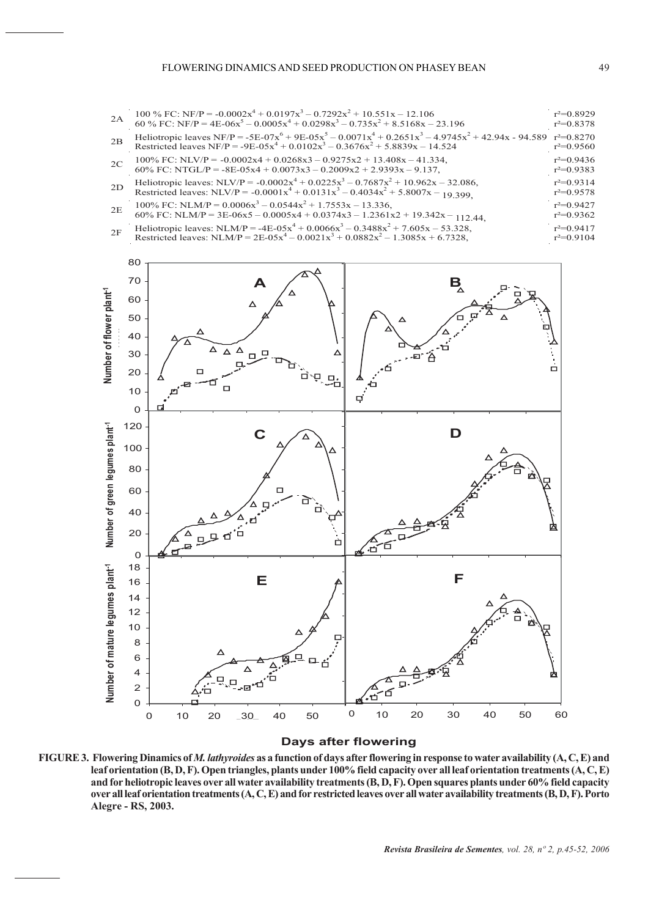#### FLOWERING DINAMICS AND SEED PRODUCTION ON PHASEY BEAN



**Days after flowering** 

**FIGURE 3. Flowering Dinamics of** *M. lathyroides* **as a function of days after flowering in response to water availability (A, C, E) and leaf orientation (B, D, F). Open triangles, plants under 100% field capacity over all leaf orientation treatments (A, C, E) and for heliotropic leaves over all water availability treatments (B, D, F). Open squares plants under 60% field capacity over all leaf orientation treatments (A, C, E) and for restricted leaves over all water availability treatments (B, D, F). Porto Alegre - RS, 2003.**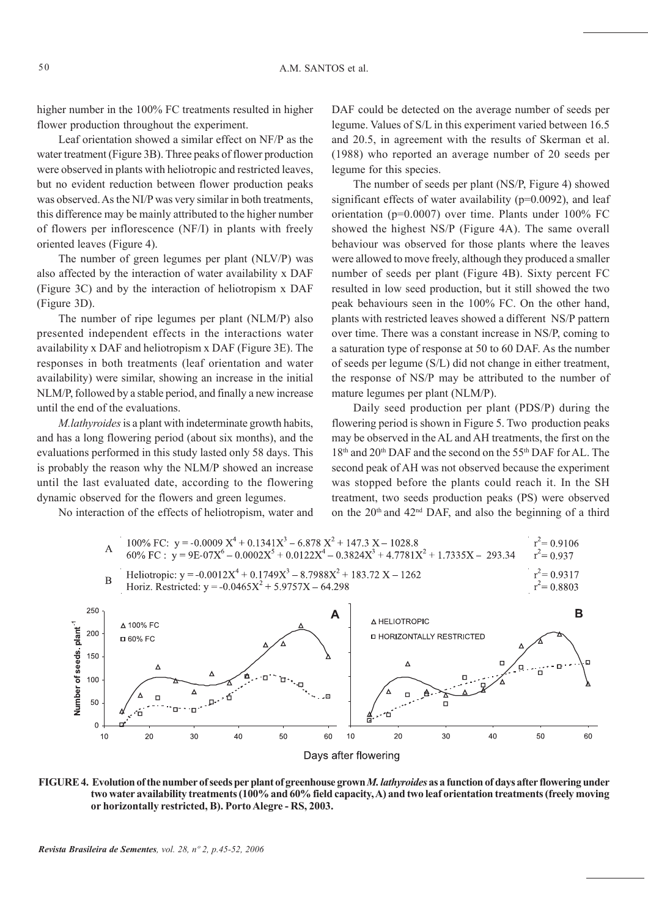higher number in the 100% FC treatments resulted in higher flower production throughout the experiment.

Leaf orientation showed a similar effect on NF/P as the water treatment (Figure 3B). Three peaks of flower production were observed in plants with heliotropic and restricted leaves, but no evident reduction between flower production peaks was observed. As the NI/P was very similar in both treatments, this difference may be mainly attributed to the higher number of flowers per inflorescence (NF/I) in plants with freely oriented leaves (Figure 4).

The number of green legumes per plant (NLV/P) was also affected by the interaction of water availability x DAF (Figure 3C) and by the interaction of heliotropism x DAF (Figure 3D).

The number of ripe legumes per plant (NLM/P) also presented independent effects in the interactions water availability x DAF and heliotropism x DAF (Figure 3E). The responses in both treatments (leaf orientation and water availability) were similar, showing an increase in the initial NLM/P, followed by a stable period, and finally a new increase until the end of the evaluations.

*M.lathyroides* is a plant with indeterminate growth habits, and has a long flowering period (about six months), and the evaluations performed in this study lasted only 58 days. This is probably the reason why the NLM/P showed an increase until the last evaluated date, according to the flowering dynamic observed for the flowers and green legumes.

No interaction of the effects of heliotropism, water and

DAF could be detected on the average number of seeds per legume. Values of S/L in this experiment varied between 16.5 and 20.5, in agreement with the results of Skerman et al. (1988) who reported an average number of 20 seeds per legume for this species.

The number of seeds per plant (NS/P, Figure 4) showed significant effects of water availability ( $p=0.0092$ ), and leaf orientation (p=0.0007) over time. Plants under 100% FC showed the highest NS/P (Figure 4A). The same overall behaviour was observed for those plants where the leaves were allowed to move freely, although they produced a smaller number of seeds per plant (Figure 4B). Sixty percent FC resulted in low seed production, but it still showed the two peak behaviours seen in the 100% FC. On the other hand, plants with restricted leaves showed a different NS/P pattern over time. There was a constant increase in NS/P, coming to a saturation type of response at 50 to 60 DAF. As the number of seeds per legume (S/L) did not change in either treatment, the response of NS/P may be attributed to the number of mature legumes per plant (NLM/P).

Daily seed production per plant (PDS/P) during the flowering period is shown in Figure 5. Two production peaks may be observed in the AL and AH treatments, the first on the 18<sup>th</sup> and 20<sup>th</sup> DAF and the second on the 55<sup>th</sup> DAF for AL. The second peak of AH was not observed because the experiment was stopped before the plants could reach it. In the SH treatment, two seeds production peaks (PS) were observed on the  $20<sup>th</sup>$  and  $42<sup>nd</sup>$  DAF, and also the beginning of a third



**FIGURE 4. Evolution of the number of seeds per plant of greenhouse grown** *M. lathyroides* **as a function of days after flowering under two water availability treatments (100% and 60% field capacity, A) and two leaf orientation treatments (freely moving or horizontally restricted, B). Porto Alegre - RS, 2003.**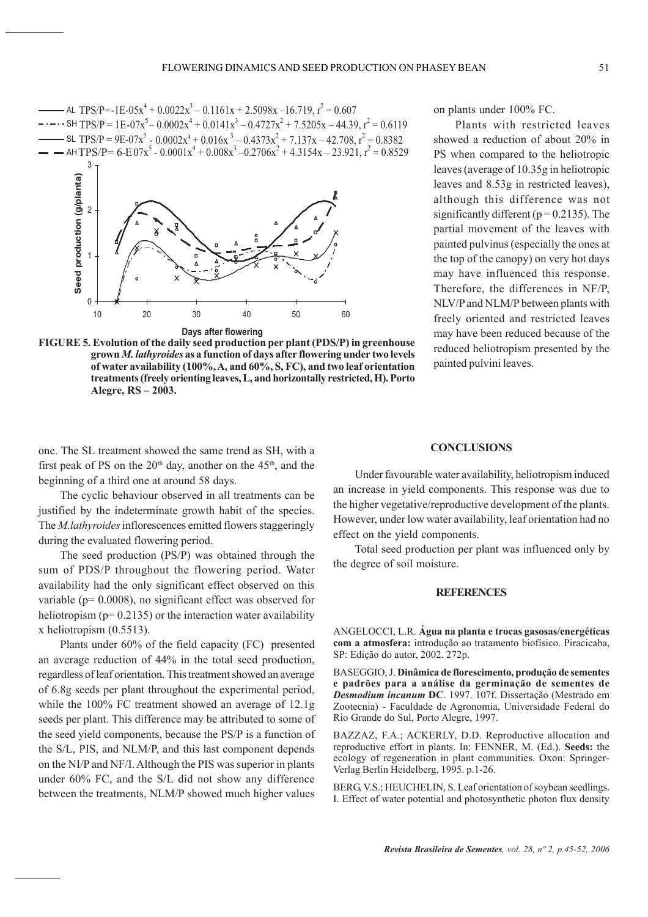

**FIGURE 5. Evolution of the daily seed production per plant (PDS/P) in greenhouse grown** *M. lathyroides* **as a function of days after flowering under two levels of water availability (100%, A, and 60%, S, FC), and two leaf orientation treatments (freely orienting leaves, L, and horizontally restricted, H). Porto Alegre, RS – 2003.**

one. The SL treatment showed the same trend as SH, with a first peak of PS on the  $20<sup>th</sup>$  day, another on the  $45<sup>th</sup>$ , and the beginning of a third one at around 58 days.

The cyclic behaviour observed in all treatments can be justified by the indeterminate growth habit of the species. The *M.lathyroides* inflorescences emitted flowers staggeringly during the evaluated flowering period.

The seed production (PS/P) was obtained through the sum of PDS/P throughout the flowering period. Water availability had the only significant effect observed on this variable (p= 0.0008), no significant effect was observed for heliotropism ( $p= 0.2135$ ) or the interaction water availability x heliotropism (0.5513).

Plants under 60% of the field capacity (FC) presented an average reduction of 44% in the total seed production, regardless of leaf orientation. This treatment showed an average of 6.8g seeds per plant throughout the experimental period, while the 100% FC treatment showed an average of 12.1g seeds per plant. This difference may be attributed to some of the seed yield components, because the PS/P is a function of the S/L, PIS, and NLM/P, and this last component depends on the NI/P and NF/I. Although the PIS was superior in plants under 60% FC, and the S/L did not show any difference between the treatments, NLM/P showed much higher values

on plants under 100% FC.

Plants with restricted leaves showed a reduction of about 20% in PS when compared to the heliotropic leaves (average of 10.35g in heliotropic leaves and 8.53g in restricted leaves), although this difference was not significantly different ( $p = 0.2135$ ). The partial movement of the leaves with painted pulvinus (especially the ones at the top of the canopy) on very hot days may have influenced this response. Therefore, the differences in NF/P, NLV/P and NLM/P between plants with freely oriented and restricted leaves may have been reduced because of the reduced heliotropism presented by the painted pulvini leaves.

#### **CONCLUSIONS**

Under favourable water availability, heliotropism induced an increase in yield components. This response was due to the higher vegetative/reproductive development of the plants. However, under low water availability, leaf orientation had no effect on the yield components.

Total seed production per plant was influenced only by the degree of soil moisture.

#### **REFERENCES**

ANGELOCCI, L.R. **Água na planta e trocas gasosas/energéticas com a atmosfera:** introdução ao tratamento biofísico. Piracicaba, SP: Edição do autor, 2002. 272p.

BASEGGIO, J. **Dinâmica de florescimento, produção de sementes e padrões para a análise da germinação de sementes de** *Desmodium incanum* **DC**. 1997. 107f. Dissertação (Mestrado em Zootecnia) - Faculdade de Agronomia, Universidade Federal do Rio Grande do Sul, Porto Alegre, 1997.

BAZZAZ, F.A.; ACKERLY, D.D. Reproductive allocation and reproductive effort in plants. In: FENNER, M. (Ed.). **Seeds:** the ecology of regeneration in plant communities. Oxon: Springer-Verlag Berlin Heidelberg, 1995. p.1-26.

BERG, V.S.; HEUCHELIN, S. Leaf orientation of soybean seedlings. I. Effect of water potential and photosynthetic photon flux density